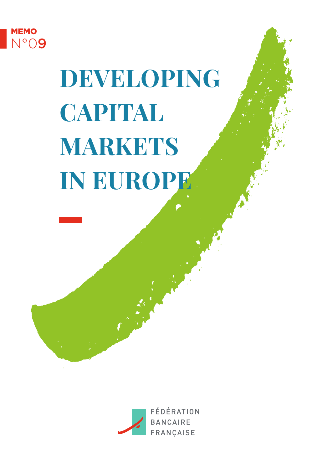

# **DEVELOPING CAPITAL MARKETS IN EUROPE**

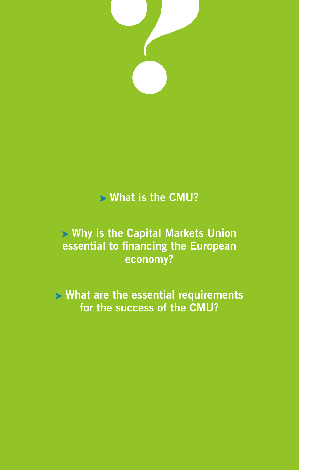

# **> What is the CMU?**

# ▶ Why is the Capital Markets Union essential to financing the European economy?

**> What are the essential requirements** for the success of the CMU?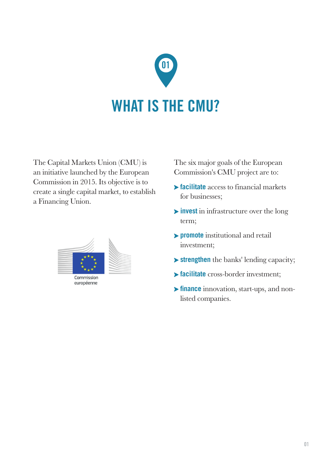

The Capital Markets Union (CMU) is an initiative launched by the European Commission in 2015. Its objective is to create a single capital market, to establish a Financing Union.



The six major goals of the European Commission's CMU project are to:

- **facilitate** access to financial markets for businesses;
- **invest** in infrastructure over the long term;
- **promote** institutional and retail investment;
- **strengthen** the banks' lending capacity;
- **facilitate** cross-border investment;
- **finance** innovation, start-ups, and nonlisted companies.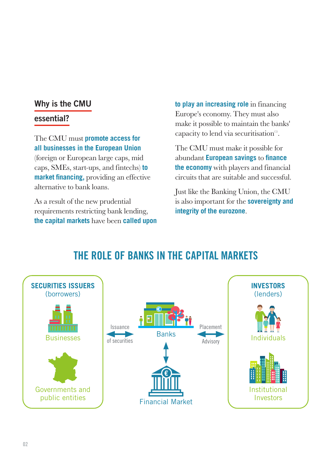## Why is the CMU

## essential?

## The CMU must **promote access for all businesses in the European Union**

(foreign or European large caps, mid caps, SMEs, start-ups, and fintechs) **to market financing,** providing an effective alternative to bank loans.

As a result of the new prudential requirements restricting bank lending, **the capital markets** have been **called upon**  **to play an increasing role** in financing Europe's economy. They must also make it possible to maintain the banks' capacity to lend via securitisation<sup>11</sup>.

The CMU must make it possible for abundant **European savings** to **finance the economy** with players and financial circuits that are suitable and successful.

Just like the Banking Union, the CMU is also important for the **sovereignty and integrity of the eurozone**.



# THE ROLE OF BANKS IN THE CAPITAL MARKETS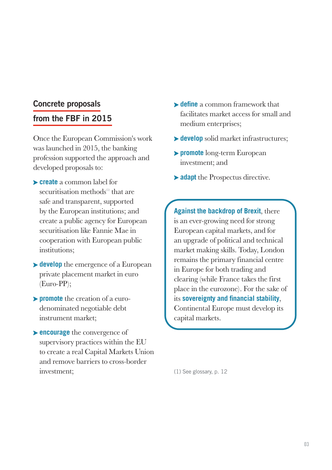# Concrete proposals

## from the FBF in 2015

Once the European Commission's work was launched in 2015, the banking profession supported the approach and developed proposals to:

- **create** a common label for securitisation methods<sup>(1)</sup> that are safe and transparent, supported by the European institutions; and create a public agency for European securitisation like Fannie Mae in cooperation with European public institutions;
- **develop** the emergence of a European private placement market in euro (Euro-PP);
- **promote** the creation of a eurodenominated negotiable debt instrument market;
- **encourage** the convergence of supervisory practices within the EU to create a real Capital Markets Union and remove barriers to cross-border investment;
- **define** a common framework that facilitates market access for small and medium enterprises;
- **develop** solid market infrastructures;
- **promote** long-term European investment; and
- **adapt** the Prospectus directive.

**Against the backdrop of Brexit**, there is an ever-growing need for strong European capital markets, and for an upgrade of political and technical market making skills. Today, London remains the primary financial centre in Europe for both trading and clearing (while France takes the first place in the eurozone). For the sake of its **sovereignty and financial stability**, Continental Europe must develop its capital markets.

(1) See glossary, p. 12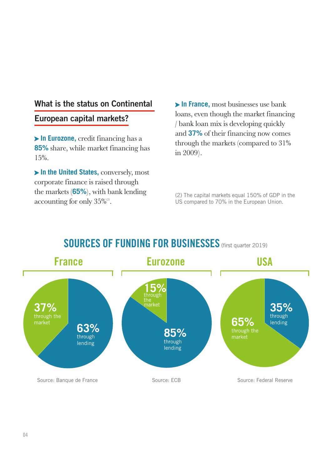# What is the status on Continental

## European capital markets?

**In Eurozone,** credit financing has a **85%** share, while market financing has 15%.

**In the United States,** conversely, most corporate finance is raised through the markets (**65%**), with bank lending accounting for only  $35\%$ <sup>20</sup>.

**In France,** most businesses use bank loans, even though the market financing / bank loan mix is developing quickly and **37%** of their financing now comes through the markets (compared to 31% in 2009).

(2) The capital markets equal 150% of GDP in the US compared to 70% in the European Union.



# SOURCES OF FUNDING FOR BUSINESSES (first quarter 2019)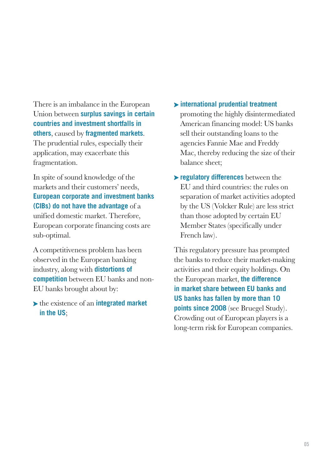There is an imbalance in the European Union between **surplus savings in certain countries and investment shortfalls in others**, caused by **fragmented markets**. The prudential rules, especially their application, may exacerbate this fragmentation.

In spite of sound knowledge of the markets and their customers' needs, **European corporate and investment banks (CIBs) do not have the advantage** of a unified domestic market. Therefore, European corporate financing costs are sub-optimal.

A competitiveness problem has been observed in the European banking industry, along with **distortions of competition** between EU banks and non-EU banks brought about by:

the existence of an **integrated market in the US**;

#### **international prudential treatment**

promoting the highly disintermediated American financing model: US banks sell their outstanding loans to the agencies Fannie Mae and Freddy Mac, thereby reducing the size of their balance sheet;

**regulatory differences** between the EU and third countries: the rules on separation of market activities adopted by the US (Volcker Rule) are less strict than those adopted by certain EU Member States (specifically under French law).

This regulatory pressure has prompted the banks to reduce their market-making activities and their equity holdings. On the European market, **the difference in market share between EU banks and US banks has fallen by more than 10 points since 2008** (see Bruegel Study). Crowding out of European players is a long-term risk for European companies.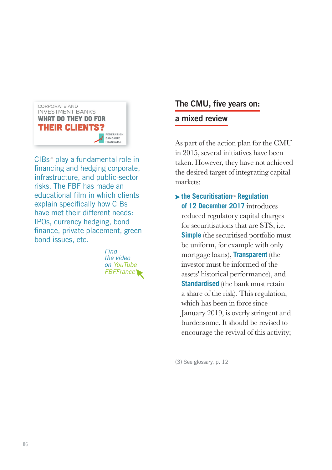

CIBs<sup>®</sup> play a fundamental role in financing and hedging corporate, infrastructure, and public-sector risks. The FBF has made an educational film in which clients explain specifically how CIBs have met their different needs: IPOs, currency hedging, bond finance, private placement, green bond issues, etc.



# The CMU, five years on:

## a mixed review

As part of the action plan for the CMU in 2015, several initiatives have been taken. However, they have not achieved the desired target of integrating capital markets:

**the Securitisation**(3) **Regulation of 12 December 2017** introduces reduced regulatory capital charges for securitisations that are STS, i.e. **Simple** (the securitised portfolio must be uniform, for example with only mortgage loans), **Transparent** (the investor must be informed of the assets' historical performance), and **Standardised** (the bank must retain a share of the risk). This regulation, which has been in force since January 2019, is overly stringent and burdensome. It should be revised to encourage the revival of this activity;

(3) See glossary, p. 12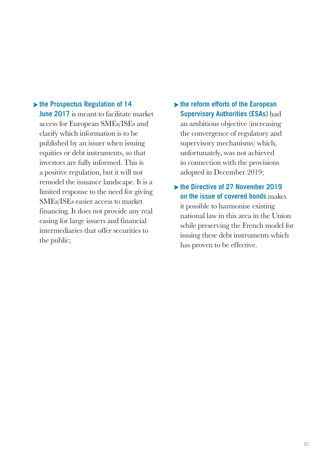#### **the Prospectus Regulation of 14**

**June 2017** is meant to facilitate market access for European SMEs/ISEs and clarify which information is to be published by an issuer when issuing equities or debt instruments, so that investors are fully informed. This is a positive regulation, but it will not remodel the issuance landscape. It is a limited response to the need for giving SMEs/ISEs easier access to market financing. It does not provide any real easing for large issuers and financial intermediaries that offer securities to the public;

- **the reform efforts of the European Supervisory Authorities (ESAs)** had an ambitious objective (increasing the convergence of regulatory and supervisory mechanisms) which, unfortunately, was not achieved in connection with the provisions adopted in December 2019;
- **the Directive of 27 November 2019 on the issue of covered bonds** makes it possible to harmonise existing national law in this area in the Union while preserving the French model for issuing these debt instruments which has proven to be effective.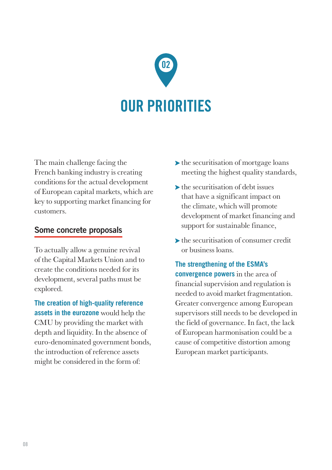

The main challenge facing the French banking industry is creating conditions for the actual development of European capital markets, which are key to supporting market financing for customers.

## Some concrete proposals

To actually allow a genuine revival of the Capital Markets Union and to create the conditions needed for its development, several paths must be explored.

**The creation of high-quality reference assets in the eurozone** would help the CMU by providing the market with depth and liquidity. In the absence of euro-denominated government bonds, the introduction of reference assets might be considered in the form of:

- $\blacktriangleright$  the securitisation of mortgage loans meeting the highest quality standards,
- $\blacktriangleright$  the securitisation of debt issues that have a significant impact on the climate, which will promote development of market financing and support for sustainable finance,
- the securitisation of consumer credit or business loans.

**The strengthening of the ESMA's convergence powers** in the area of financial supervision and regulation is needed to avoid market fragmentation. Greater convergence among European supervisors still needs to be developed in the field of governance. In fact, the lack of European harmonisation could be a cause of competitive distortion among European market participants.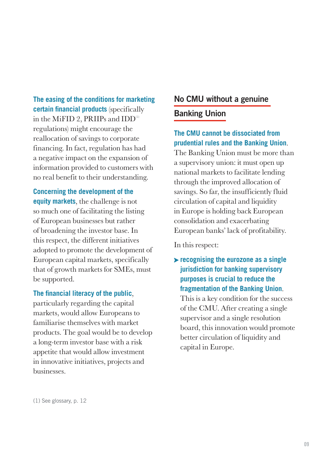**The easing of the conditions for marketing certain financial products** (specifically in the MiFID 2, PRIIPs and  $\text{IDD}^{(1)}$ regulations) might encourage the reallocation of savings to corporate financing. In fact, regulation has had a negative impact on the expansion of information provided to customers with no real benefit to their understanding.

**Concerning the development of the equity markets**, the challenge is not so much one of facilitating the listing of European businesses but rather of broadening the investor base. In this respect, the different initiatives adopted to promote the development of European capital markets, specifically that of growth markets for SMEs, must be supported.

**The financial literacy of the public**,

particularly regarding the capital markets, would allow Europeans to familiarise themselves with market products. The goal would be to develop a long-term investor base with a risk appetite that would allow investment in innovative initiatives, projects and businesses.

## No CMU without a genuine

#### Banking Union

#### **The CMU cannot be dissociated from prudential rules and the Banking Union**.

The Banking Union must be more than a supervisory union: it must open up national markets to facilitate lending through the improved allocation of savings. So far, the insufficiently fluid circulation of capital and liquidity in Europe is holding back European consolidation and exacerbating European banks' lack of profitability.

In this respect:

 **recognising the eurozone as a single jurisdiction for banking supervisory purposes is crucial to reduce the fragmentation of the Banking Union**.

This is a key condition for the success of the CMU. After creating a single supervisor and a single resolution board, this innovation would promote better circulation of liquidity and capital in Europe.

(1) See glossary, p. 12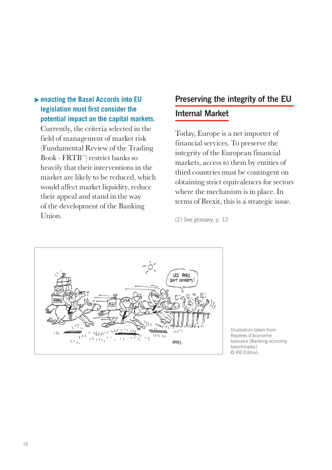### **enacting the Basel Accords into EU legislation must first consider the potential impact on the capital markets**.

Currently, the criteria selected in the field of management of market risk (Fundamental Review of the Trading Book - FRTB<sup>(2)</sup>) restrict banks so heavily that their interventions in the market are likely to be reduced, which would affect market liquidity, reduce their appeal and stand in the way of the development of the Banking Union.

# Preserving the integrity of the EU Internal Market

Today, Europe is a net importer of financial services. To preserve the integrity of the European financial markets, access to them by entities of third countries must be contingent on obtaining strict equivalences for sectors where the mechanism is in place. In terms of Brexit, this is a strategic issue.

(2) See glossary, p. 12



Illustration taken from Repères d'économie bancaire [Banking economy benchmarks] © RB Edition.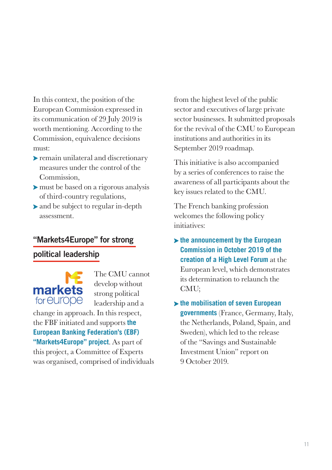In this context, the position of the European Commission expressed in its communication of 29 July 2019 is worth mentioning. According to the Commission, equivalence decisions must:

- remain unilateral and discretionary measures under the control of the Commission,
- must be based on a rigorous analysis of third-country regulations,
- and be subject to regular in-depth assessment.

# "Markets4Europe" for strong

## political leadership



The CMU cannot develop without strong political leadership and a

change in approach. In this respect, the FBF initiated and supports **the European Banking Federation's (EBF) "Markets4Europe" project**. As part of this project, a Committee of Experts was organised, comprised of individuals from the highest level of the public sector and executives of large private sector businesses. It submitted proposals for the revival of the CMU to European institutions and authorities in its September 2019 roadmap.

This initiative is also accompanied by a series of conferences to raise the awareness of all participants about the key issues related to the CMU.

The French banking profession welcomes the following policy initiatives:

- **the announcement by the European Commission in October 2019 of the creation of a High Level Forum** at the European level, which demonstrates its determination to relaunch the CMU;
- **the mobilisation of seven European governments** (France, Germany, Italy, the Netherlands, Poland, Spain, and Sweden), which led to the release of the "Savings and Sustainable Investment Union" report on 9 October 2019.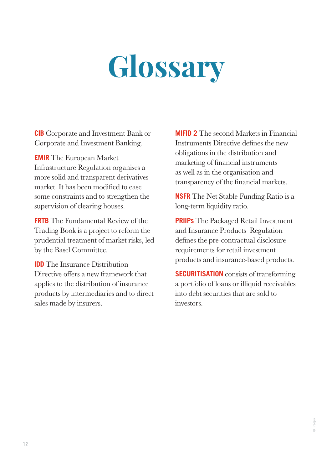# **Glossary**

**CIB** Corporate and Investment Bank or Corporate and Investment Banking.

**EMIR** The European Market Infrastructure Regulation organises a more solid and transparent derivatives market. It has been modified to ease some constraints and to strengthen the supervision of clearing houses.

**FRTB** The Fundamental Review of the Trading Book is a project to reform the prudential treatment of market risks, led by the Basel Committee.

**IDD** The Insurance Distribution Directive offers a new framework that applies to the distribution of insurance products by intermediaries and to direct sales made by insurers.

**MIFID 2** The second Markets in Financial Instruments Directive defines the new obligations in the distribution and marketing of financial instruments as well as in the organisation and transparency of the financial markets.

**NSFR** The Net Stable Funding Ratio is a long-term liquidity ratio.

**PRIIPs** The Packaged Retail Investment and Insurance Products Regulation defines the pre-contractual disclosure requirements for retail investment products and insurance-based products.

**SECURITISATION** consists of transforming a portfolio of loans or illiquid receivables into debt securities that are sold to investors.